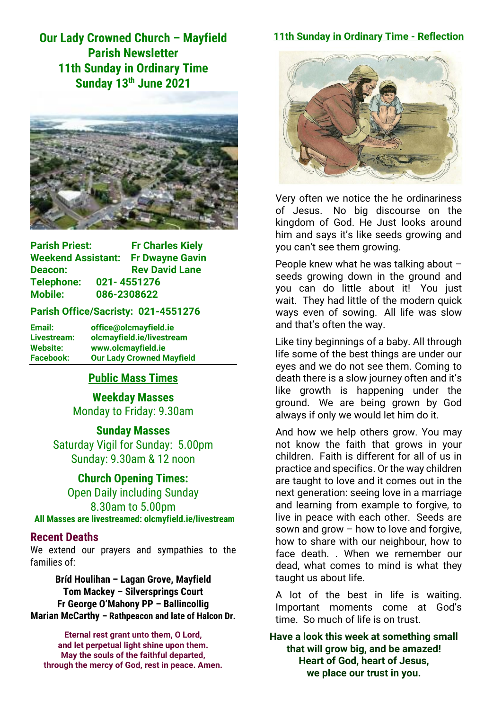**Our Lady Crowned Church – Mayfield Parish Newsletter 11th Sunday in Ordinary Time Sunday 13th June 2021**



| <b>Parish Priest:</b>     |             | <b>Fr Charles Kiely</b> |
|---------------------------|-------------|-------------------------|
| <b>Weekend Assistant:</b> |             | <b>Fr Dwayne Gavin</b>  |
| Deacon:                   |             | <b>Rev David Lane</b>   |
| Telephone:                | 021-4551276 |                         |
| <b>Mobile:</b>            |             | 086-2308622             |

#### **Parish Office/Sacristy: 021-4551276**

**Email: office@olcmayfield.ie Livestream: olcmayfield.ie/livestream Website: www.olcmayfield.ie Facebook: Our Lady Crowned Mayfield**

### **Public Mass Times**

**Weekday Masses** Monday to Friday: 9.30am

**Sunday Masses** Saturday Vigil for Sunday: 5.00pm Sunday: 9.30am & 12 noon

**Church Opening Times:** Open Daily including Sunday 8.30am to 5.00pm **All Masses are livestreamed: olcmyfield.ie/livestream**

#### **Recent Deaths**

We extend our prayers and sympathies to the families of:

**Bríd Houlihan – Lagan Grove, Mayfield Tom Mackey – Silversprings Court Fr George O'Mahony PP – Ballincollig Marian McCarthy – Rathpeacon and late of Halcon Dr.**

**Eternal rest grant unto them, O Lord, and let perpetual light shine upon them. May the souls of the faithful departed, through the mercy of God, rest in peace. Amen.**

#### **11th Sunday in Ordinary Time - Reflection**



Very often we notice the he ordinariness of Jesus. No big discourse on the kingdom of God. He Just looks around him and says it's like seeds growing and you can't see them growing.

People knew what he was talking about – seeds growing down in the ground and you can do little about it! You just wait. They had little of the modern quick ways even of sowing. All life was slow and that's often the way.

Like tiny beginnings of a baby. All through life some of the best things are under our eyes and we do not see them. Coming to death there is a slow journey often and it's like growth is happening under the ground. We are being grown by God always if only we would let him do it.

And how we help others grow. You may not know the faith that grows in your children. Faith is different for all of us in practice and specifics. Or the way children are taught to love and it comes out in the next generation: seeing love in a marriage and learning from example to forgive, to live in peace with each other. Seeds are sown and grow – how to love and forgive, how to share with our neighbour, how to face death. . When we remember our dead, what comes to mind is what they taught us about life.

A lot of the best in life is waiting. Important moments come at God's time. So much of life is on trust.

**Have a look this week at something small that will grow big, and be amazed! Heart of God, heart of Jesus, we place our trust in you.**